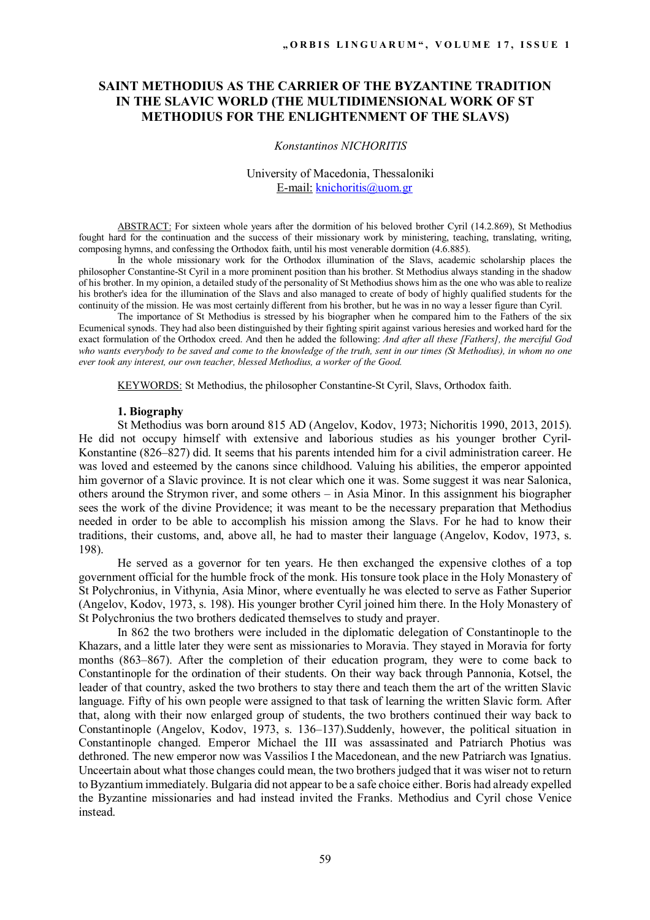## **SAINT METHODIUS AS THE CARRIER OF THE BYZANTINE TRADITION IN THE SLAVIC WORLD (THE MULTIDIMENSIONAL WORK OF ST METHODIUS FOR THE ENLIGHTENMENT OF THE SLAVS)**

#### *Konstantinos NICHORITIS*

## University of Macedonia, Thessaloniki E-mail: knichoritis@uom.gr

ABSTRACT: For sixteen whole years after the dormition of his beloved brother Cyril (14.2.869), St Methodius fought hard for the continuation and the success of their missionary work by ministering, teaching, translating, writing, composing hymns, and confessing the Orthodox faith, until his most venerable dormition (4.6.885).

In the whole missionary work for the Orthodox illumination of the Slavs, academic scholarship places the philosopher Constantine-St Cyril in a more prominent position than his brother. St Methodius always standing in the shadow of his brother. In my opinion, a detailed study of the personality of St Methodius shows him as the one who was able to realize his brother's idea for the illumination of the Slavs and also managed to create of body of highly qualified students for the continuity of the mission. He was most certainly different from his brother, but he was in no way a lesser figure than Cyril.

The importance of St Methodius is stressed by his biographer when he compared him to the Fathers of the six Ecumenical synods. They had also been distinguished by their fighting spirit against various heresies and worked hard for the exact formulation of the Orthodox creed. And then he added the following: *And after all these [Fathers], the merciful God who wants everybody to be saved and come to the knowledge of the truth, sent in our times (St Methodius), in whom no one ever took any interest, our own teacher, blessed Methodius, a worker of the Good.*

KEYWORDS: St Methodius, the philosopher Constantine-St Cyril, Slavs, Orthodox faith.

### **1. Biography**

St Methodius was born around 815 AD (Angelov, Kodov, 1973; Nichoritis 1990, 2013, 2015). He did not occupy himself with extensive and laborious studies as his younger brother Cyril-Konstantine (826–827) did. It seems that his parents intended him for a civil administration career. He was loved and esteemed by the canons since childhood. Valuing his abilities, the emperor appointed him governor of a Slavic province. It is not clear which one it was. Some suggest it was near Salonica, others around the Strymon river, and some others – in Asia Minor. In this assignment his biographer sees the work of the divine Providence; it was meant to be the necessary preparation that Methodius needed in order to be able to accomplish his mission among the Slavs. For he had to know their traditions, their customs, and, above all, he had to master their language (Angelov, Kodov, 1973, s. 198).

He served as a governor for ten years. He then exchanged the expensive clothes of a top government official for the humble frock of the monk. His tonsure took place in the Holy Monastery of St Polychronius, in Vithynia, Asia Minor, where eventually he was elected to serve as Father Superior (Angelov, Kodov, 1973, s. 198). His younger brother Cyril joined him there. In the Holy Monastery of St Polychronius the two brothers dedicated themselves to study and prayer.

In 862 the two brothers were included in the diplomatic delegation of Constantinople to the Khazars, and a little later they were sent as missionaries to Moravia. They stayed in Moravia for forty months (863–867). After the completion of their education program, they were to come back to Constantinople for the ordination of their students. On their way back through Pannonia, Kotsel, the leader of that country, asked the two brothers to stay there and teach them the art of the written Slavic language. Fifty of his own people were assigned to that task of learning the written Slavic form. After that, along with their now enlarged group of students, the two brothers continued their way back to Constantinople (Angelov, Kodov, 1973, s. 136–137).Suddenly, however, the political situation in Constantinople changed. Emperor Michael the III was assassinated and Patriarch Photius was dethroned. The new emperor now was Vassilios I the Macedonean, and the new Patriarch was Ignatius. Unceertain about what those changes could mean, the two brothers judged that it was wiser not to return to Byzantium immediately. Bulgaria did not appear to be a safe choice either. Boris had already expelled the Byzantine missionaries and had instead invited the Franks. Methodius and Cyril chose Venice instead.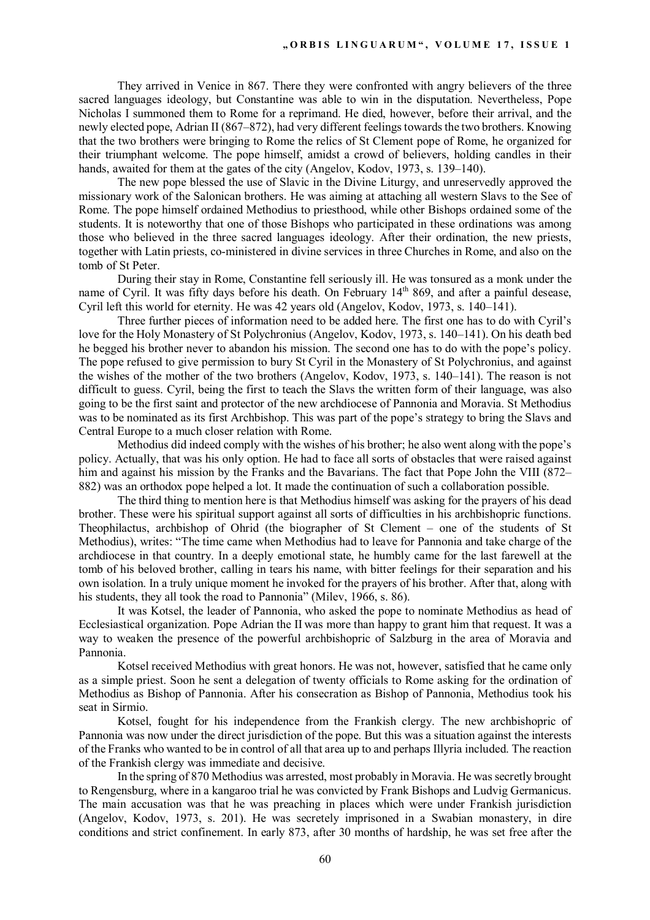They arrived in Venice in 867. There they were confronted with angry believers of the three sacred languages ideology, but Constantine was able to win in the disputation. Nevertheless, Pope Nicholas I summoned them to Rome for a reprimand. He died, however, before their arrival, and the newly elected pope, Adrian II (867–872), had very different feelings towards the two brothers. Knowing that the two brothers were bringing to Rome the relics of St Clement pope of Rome, he organized for their triumphant welcome. The pope himself, amidst a crowd of believers, holding candles in their hands, awaited for them at the gates of the city (Angelov, Kodov, 1973, s. 139–140).

The new pope blessed the use of Slavic in the Divine Liturgy, and unreservedly approved the missionary work of the Salonican brothers. He was aiming at attaching all western Slavs to the See of Rome. The pope himself ordained Methodius to priesthood, while other Bishops ordained some of the students. It is noteworthy that one of those Bishops who participated in these ordinations was among those who believed in the three sacred languages ideology. After their ordination, the new priests, together with Latin priests, co-ministered in divine services in three Churches in Rome, and also on the tomb of St Peter.

During their stay in Rome, Constantine fell seriously ill. He was tonsured as a monk under the name of Cyril. It was fifty days before his death. On February 14<sup>th</sup> 869, and after a painful desease, Cyril left this world for eternity. He was 42 years old (Angelov, Kodov, 1973, s. 140–141).

Three further pieces of information need to be added here. The first one has to do with Cyril's love for the Holy Monastery of St Polychronius (Angelov, Kodov, 1973, s. 140–141). On his death bed he begged his brother never to abandon his mission. The second one has to do with the pope's policy. The pope refused to give permission to bury St Cyril in the Monastery of St Polychronius, and against the wishes of the mother of the two brothers (Angelov, Kodov, 1973, s. 140–141). The reason is not difficult to guess. Cyril, being the first to teach the Slavs the written form of their language, was also going to be the first saint and protector of the new archdiocese of Pannonia and Moravia. St Methodius was to be nominated as its first Archbishop. This was part of the pope's strategy to bring the Slavs and Central Europe to a much closer relation with Rome.

Methodius did indeed comply with the wishes of his brother; he also went along with the pope's policy. Actually, that was his only option. He had to face all sorts of obstacles that were raised against him and against his mission by the Franks and the Bavarians. The fact that Pope John the VIII (872– 882) was an orthodox pope helped a lot. It made the continuation of such a collaboration possible.

The third thing to mention here is that Methodius himself was asking for the prayers of his dead brother. These were his spiritual support against all sorts of difficulties in his archbishopric functions. Theophilactus, archbishop of Ohrid (the biographer of St Clement – one of the students of St Methodius), writes: "The time came when Methodius had to leave for Pannonia and take charge of the archdiocese in that country. In a deeply emotional state, he humbly came for the last farewell at the tomb of his beloved brother, calling in tears his name, with bitter feelings for their separation and his own isolation. In a truly unique moment he invoked for the prayers of his brother. After that, along with his students, they all took the road to Pannonia" (Milev, 1966, s. 86).

It was Kotsel, the leader of Pannonia, who asked the pope to nominate Methodius as head of Ecclesiastical organization. Pope Adrian the II was more than happy to grant him that request. It was a way to weaken the presence of the powerful archbishopric of Salzburg in the area of Moravia and Pannonia.

Kotsel received Methodius with great honors. He was not, however, satisfied that he came only as a simple priest. Soon he sent a delegation of twenty officials to Rome asking for the ordination of Methodius as Bishop of Pannonia. After his consecration as Bishop of Pannonia, Methodius took his seat in Sirmio.

Kotsel, fought for his independence from the Frankish clergy. The new archbishopric of Pannonia was now under the direct jurisdiction of the pope. But this was a situation against the interests of the Franks who wanted to be in control of all that area up to and perhaps Illyria included. The reaction of the Frankish clergy was immediate and decisive.

In the spring of 870 Methodius was arrested, most probably in Moravia. He was secretly brought to Rengensburg, where in a kangaroo trial he was convicted by Frank Bishops and Ludvig Germanicus. The main accusation was that he was preaching in places which were under Frankish jurisdiction (Angelov, Kodov, 1973, s. 201). He was secretely imprisoned in a Swabian monastery, in dire conditions and strict confinement. In early 873, after 30 months of hardship, he was set free after the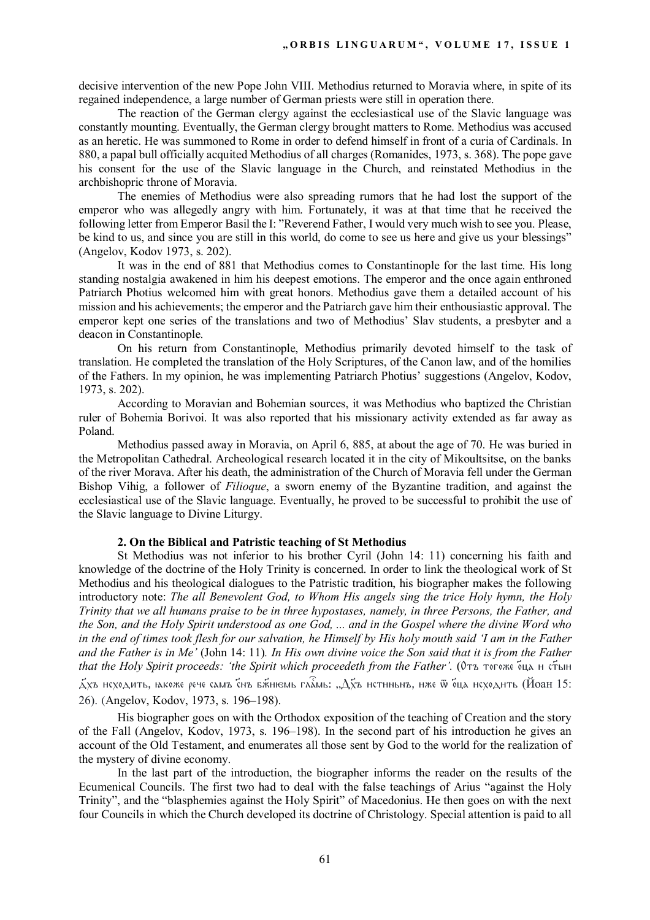decisive intervention of the new Pope John VIII. Methodius returned to Moravia where, in spite of its regained independence, a large number of German priests were still in operation there.

The reaction of the German clergy against the ecclesiastical use of the Slavic language was constantly mounting. Eventually, the German clergy brought matters to Rome. Methodius was accused as an heretic. He was summoned to Rome in order to defend himself in front of a curia of Cardinals. In 880, a papal bull officially acquited Methodius of all charges (Romanides, 1973, s. 368). The pope gave his consent for the use of the Slavic language in the Church, and reinstated Methodius in the archbishopric throne of Moravia.

The enemies of Methodius were also spreading rumors that he had lost the support of the emperor who was allegedly angry with him. Fortunately, it was at that time that he received the following letter from Emperor Basil the I: "Reverend Father, I would very much wish to see you. Please, be kind to us, and since you are still in this world, do come to see us here and give us your blessings" (Angelov, Kodov 1973, s. 202).

It was in the end of 881 that Methodius comes to Constantinople for the last time. His long standing nostalgia awakened in him his deepest emotions. The emperor and the once again enthroned Patriarch Photius welcomed him with great honors. Methodius gave them a detailed account of his mission and his achievements; the emperor and the Patriarch gave him their enthousiastic approval. The emperor kept one series of the translations and two of Methodius' Slav students, a presbyter and a deacon in Constantinople.

On his return from Constantinople, Methodius primarily devoted himself to the task of translation. He completed the translation of the Holy Scriptures, of the Canon law, and of the homilies of the Fathers. In my opinion, he was implementing Patriarch Photius' suggestions (Angelov, Kodov, 1973, s. 202).

According to Moravian and Bohemian sources, it was Methodius who baptized the Christian ruler of Bohemia Borivoi. It was also reported that his missionary activity extended as far away as Poland.

Methodius passed away in Moravia, on April 6, 885, at about the age of 70. He was buried in the Metropolitan Cathedral. Archeological research located it in the city of Mikoultsitse, on the banks of the river Morava. After his death, the administration of the Church of Moravia fell under the German Bishop Vihig, a follower of *Filioque*, a sworn enemy of the Byzantine tradition, and against the ecclesiastical use of the Slavic language. Eventually, he proved to be successful to prohibit the use of the Slavic language to Divine Liturgy.

#### **2. On the Biblical and Patristic teaching of St Methodius**

St Methodius was not inferior to his brother Cyril (John 14: 11) concerning his faith and knowledge of the doctrine of the Holy Trinity is concerned. In order to link the theological work of St Methodius and his theological dialogues to the Patristic tradition, his biographer makes the following introductory note: *The all Benevolent God, to Whom His angels sing the trice Holy hymn, the Holy Trinity that we all humans praise to be in three hypostases, namely, in three Persons, the Father, and the Son, and the Holy Spirit understood as one God, ... and in the Gospel where the divine Word who in the end of times took flesh for our salvation, he Himself by His holy mouth said 'I am in the Father and the Father is in Me'* (John 14: 11)*. In His own divine voice the Son said that it is from the Father*  that the Holy Spirit proceeds: 'the Spirit which proceedeth from the Father'. (O $\tau$ ъ тогоже бид н с $\tilde{\tau}$ ын  $\vec{\Delta}$ хъ нсходить, накоже рече самъ снъ бя́ніємь гла́мь: "Дх́ъ нстннынъ, нже ѿ бца нсходнть (Йоан 15: 26). (Angelov, Kodov, 1973, s. 196–198).

His biographer goes on with the Orthodox exposition of the teaching of Creation and the story of the Fall (Angelov, Kodov, 1973, s. 196–198). In the second part of his introduction he gives an account of the Old Testament, and enumerates all those sent by God to the world for the realization of the mystery of divine economy.

In the last part of the introduction, the biographer informs the reader on the results of the Ecumenical Councils. The first two had to deal with the false teachings of Arius "against the Holy Trinity", and the "blasphemies against the Holy Spirit" of Macedonius. He then goes on with the next four Councils in which the Church developed its doctrine of Christology. Special attention is paid to all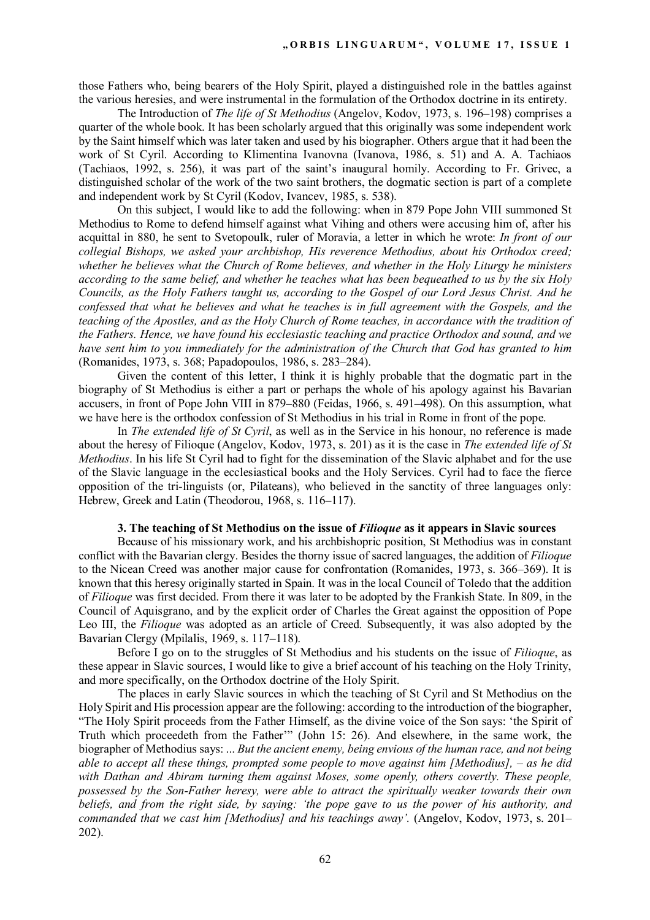those Fathers who, being bearers of the Holy Spirit, played a distinguished role in the battles against the various heresies, and were instrumental in the formulation of the Orthodox doctrine in its entirety.

The Introduction of *The life of St Methodius* (Angelov, Kodov, 1973, s. 196–198) comprises a quarter of the whole book. It has been scholarly argued that this originally was some independent work by the Saint himself which was later taken and used by his biographer. Others argue that it had been the work of St Cyril. According to Klimentina Ivanovna (Ivanova, 1986, s. 51) and A. A. Tachiaos (Tachiaos, 1992, s. 256), it was part of the saint's inaugural homily. According to Fr. Grivec, a distinguished scholar of the work of the two saint brothers, the dogmatic section is part of a complete and independent work by St Cyril (Kodov, Ivancev, 1985, s. 538).

On this subject, I would like to add the following: when in 879 Pope John VIII summoned St Methodius to Rome to defend himself against what Vihing and others were accusing him of, after his acquittal in 880, he sent to Svetopoulk, ruler of Moravia, a letter in which he wrote: *In front of our collegial Bishops, we asked your archbishop, His reverence Methodius, about his Orthodox creed; whether he believes what the Church of Rome believes, and whether in the Holy Liturgy he ministers according to the same belief, and whether he teaches what has been bequeathed to us by the six Holy Councils, as the Holy Fathers taught us, according to the Gospel of our Lord Jesus Christ. And he confessed that what he believes and what he teaches is in full agreement with the Gospels, and the teaching of the Apostles, and as the Holy Church of Rome teaches, in accordance with the tradition of the Fathers. Hence, we have found his ecclesiastic teaching and practice Orthodox and sound, and we have sent him to you immediately for the administration of the Church that God has granted to him* (Romanides, 1973, s. 368; Papadopoulos, 1986, s. 283–284).

Given the content of this letter, I think it is highly probable that the dogmatic part in the biography of St Methodius is either a part or perhaps the whole of his apology against his Bavarian accusers, in front of Pope John VIII in 879–880 (Feidas, 1966, s. 491–498). On this assumption, what we have here is the orthodox confession of St Methodius in his trial in Rome in front of the pope.

In *The extended life of St Cyril*, as well as in the Service in his honour, no reference is made about the heresy of Filioque (Angelov, Kodov, 1973, s. 201) as it is the case in *The extended life of St Methodius*. In his life St Cyril had to fight for the dissemination of the Slavic alphabet and for the use of the Slavic language in the ecclesiastical books and the Holy Services. Cyril had to face the fierce opposition of the tri-linguists (or, Pilateans), who believed in the sanctity of three languages only: Hebrew, Greek and Latin (Theodorou, 1968, s. 116–117).

#### **3. The teaching of St Methodius on the issue of** *Filioque* **as it appears in Slavic sources**

Because of his missionary work, and his archbishopric position, St Methodius was in constant conflict with the Bavarian clergy. Besides the thorny issue of sacred languages, the addition of *Filioque*  to the Nicean Creed was another major cause for confrontation (Romanides, 1973, s. 366–369). It is known that this heresy originally started in Spain. It was in the local Council of Toledo that the addition of *Filioque* was first decided. From there it was later to be adopted by the Frankish State. In 809, in the Council of Aquisgrano, and by the explicit order of Charles the Great against the opposition of Pope Leo III, the *Filioque* was adopted as an article of Creed. Subsequently, it was also adopted by the Bavarian Clergy (Mpilalis, 1969, s. 117–118).

Before I go on to the struggles of St Methodius and his students on the issue of *Filioque*, as these appear in Slavic sources, I would like to give a brief account of his teaching on the Holy Trinity, and more specifically, on the Orthodox doctrine of the Holy Spirit.

The places in early Slavic sources in which the teaching of St Cyril and St Methodius on the Holy Spirit and His procession appear are the following: according to the introduction of the biographer, "The Holy Spirit proceeds from the Father Himself, as the divine voice of the Son says: 'the Spirit of Truth which proceedeth from the Father'" (John 15: 26). And elsewhere, in the same work, the biographer of Methodius says: ... *But the ancient enemy, being envious of the human race, and not being able to accept all these things, prompted some people to move against him [Methodius], – as he did*  with Dathan and Abiram turning them against Moses, some openly, others covertly. These people, *possessed by the Son-Father heresy, were able to attract the spiritually weaker towards their own beliefs, and from the right side, by saying: 'the pope gave to us the power of his authority, and commanded that we cast him [Methodius] and his teachings away'.* (Angelov, Kodov, 1973, s. 201– 202).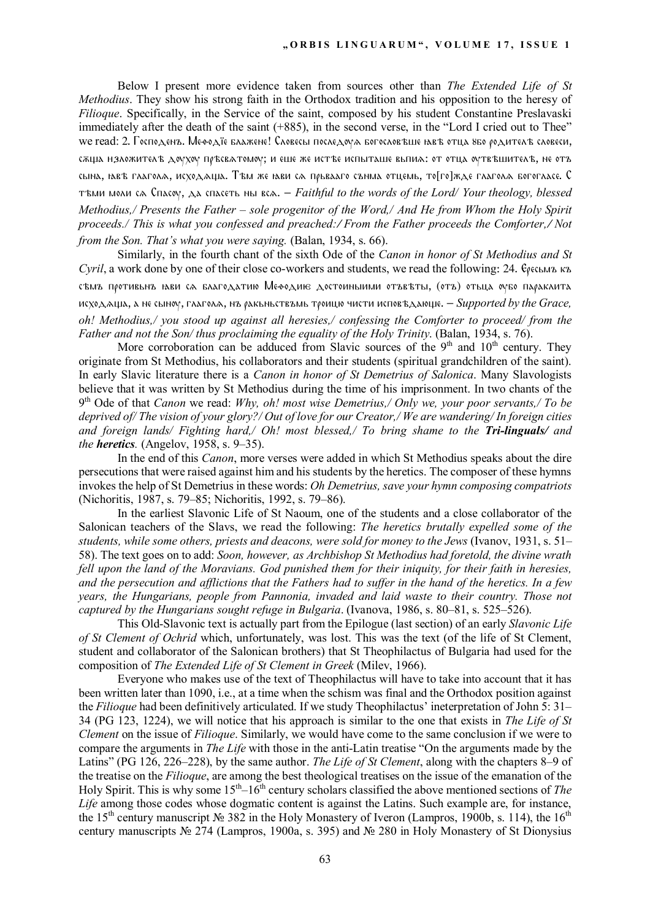Below I present more evidence taken from sources other than *The Extended Life of St Methodius*. They show his strong faith in the Orthodox tradition and his opposition to the heresy of *Filioque*. Specifically, in the Service of the saint, composed by his student Constantine Preslavaski immediately after the death of the saint (+885), in the second verse, in the "Lord I cried out to Thee" we read: 2. Господенъ. Мефодїе блажене! Словесы последоул богословъще навъ отца 8бо родителъ словеси, сжща нзложителѣ доухоу пръсватомоу; и еше же истѣе испыташе вьпиа: от отца оутвѣшителѣ, не отъ сына, њвъ глагола, исходаща. Тъм же њви са прьвааго сънма отцемь, то[го]жде глагола богогласе. С тъми моли са Спасоу, да спасеть ны вса. *– Faithful to the words of the Lord/ Your theology, blessed Methodius,/ Presents the Father – sole progenitor of the Word,/ And He from Whom the Holy Spirit proceeds./ This is what you confessed and preached:*/ *From the Father proceeds the Comforter,*/ *Not from the Son. That's what you were saying.* (Balan, 1934, s. 66).

Similarly, in the fourth chant of the sixth Ode of the *Canon in honor of St Methodius and St Cyril*, a work done by one of their close co-workers and students, we read the following: 24.  $\epsilon_{\beta}$   $\epsilon_{\beta}$ съмъ противьнъ юви са благодатию Мефодию достоиныими отъвъты, (отъ) отьца оубо параклита исходаща, а не сыноу, глагола, нъ ракьньствъмь троицю чисти исповъдающе. – *Supported by the Grace, oh! Methodius,/ you stood up against all heresies,/ confessing the Comforter to proceed/ from the Father and not the Son/ thus proclaiming the equality of the Holy Trinity*. (Balan, 1934, s. 76).

More corroboration can be adduced from Slavic sources of the  $9<sup>th</sup>$  and  $10<sup>th</sup>$  century. They originate from St Methodius, his collaborators and their students (spiritual grandchildren of the saint). In early Slavic literature there is a *Canon in honor of St Demetrius of Salonica*. Many Slavologists believe that it was written by St Methodius during the time of his imprisonment. In two chants of the 9 th Ode of that *Canon* we read: *Why, oh! most wise Demetrius,/ Only we, your poor servants,/ To be deprived of/ The vision of your glory?/ Out of love for our Creator,/ We are wandering/ In foreign cities and foreign lands/ Fighting hard,/ Oh! most blessed,/ To bring shame to the Tri-linguals/ and the heretics.* (Angelov, 1958, s. 9–35).

In the end of this *Canon*, more verses were added in which St Methodius speaks about the dire persecutions that were raised against him and his students by the heretics. The composer of these hymns invokes the help of St Demetrius in these words: *Oh Demetrius, save your hymn composing compatriots* (Nichoritis, 1987, s. 79–85; Nichoritis, 1992, s. 79–86).

In the earliest Slavonic Life of St Naoum, one of the students and a close collaborator of the Salonican teachers of the Slavs, we read the following: *The heretics brutally expelled some of the students, while some others, priests and deacons, were sold for money to the Jews* (Ivanov, 1931, s. 51– 58). The text goes on to add: *Soon, however, as Archbishop St Methodius had foretold, the divine wrath fell upon the land of the Moravians. God punished them for their iniquity, for their faith in heresies, and the persecution and afflictions that the Fathers had to suffer in the hand of the heretics. In a few years, the Hungarians, people from Pannonia, invaded and laid waste to their country. Those not captured by the Hungarians sought refuge in Bulgaria*. (Ivanova, 1986, s. 80–81, s. 525–526).

This Old-Slavonic text is actually part from the Epilogue (last section) of an early *Slavonic Life of St Clement of Ochrid* which, unfortunately, was lost. This was the text (of the life of St Clement, student and collaborator of the Salonican brothers) that St Theophilactus of Bulgaria had used for the composition of *The Extended Life of St Clement in Greek* (Milev, 1966).

Everyone who makes use of the text of Theophilactus will have to take into account that it has been written later than 1090, i.e., at a time when the schism was final and the Orthodox position against the *Filioque* had been definitively articulated. If we study Theophilactus' ineterpretation of John 5: 31– 34 (PG 123, 1224), we will notice that his approach is similar to the one that exists in *The Life of St Clement* on the issue of *Filioque*. Similarly, we would have come to the same conclusion if we were to compare the arguments in *The Life* with those in the anti-Latin treatise "On the arguments made by the Latins" (PG 126, 226–228), by the same author. *The Life of St Clement*, along with the chapters 8–9 of the treatise on the *Filioque*, are among the best theological treatises on the issue of the emanation of the Holy Spirit. This is why some 15<sup>th</sup>–16<sup>th</sup> century scholars classified the above mentioned sections of *The Life* among those codes whose dogmatic content is against the Latins. Such example are, for instance, the 15<sup>th</sup> century manuscript  $\mathcal{N}_2$  382 in the Holy Monastery of Iveron (Lampros, 1900b, s. 114), the 16<sup>th</sup> century manuscripts № 274 (Lampros, 1900a, s. 395) and № 280 in Holy Monastery of St Dionysius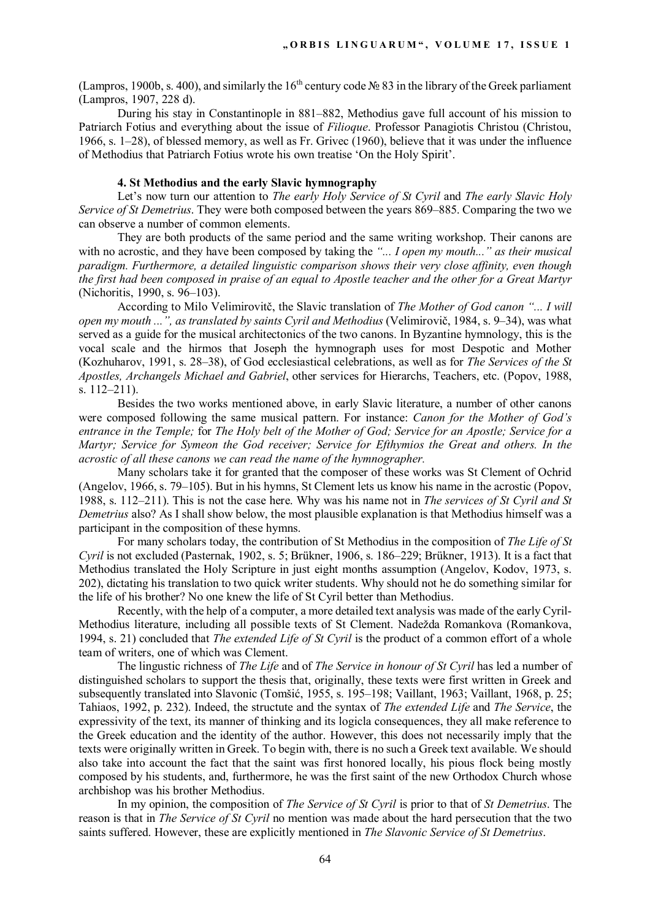(Lampros, 1900b, s. 400), and similarly the 16<sup>th</sup> century code  $\mathcal{N}_2$  83 in the library of the Greek parliament (Lampros, 1907, 228 d).

During his stay in Constantinople in 881–882, Methodius gave full account of his mission to Patriarch Fotius and everything about the issue of *Filioque*. Professor Panagiotis Christou (Christou, 1966, s. 1–28), of blessed memory, as well as Fr. Grivec (1960), believe that it was under the influence of Methodius that Patriarch Fotius wrote his own treatise 'On the Holy Spirit'.

#### **4. St Methodius and the early Slavic hymnography**

Let's now turn our attention to *The early Holy Service of St Cyril* and *The early Slavic Holy Service of St Demetrius*. They were both composed between the years 869–885. Comparing the two we can observe a number of common elements.

They are both products of the same period and the same writing workshop. Their canons are with no acrostic, and they have been composed by taking the *"... I open my mouth..." as their musical paradigm. Furthermore, a detailed linguistic comparison shows their very close affinity, even though the first had been composed in praise of an equal to Apostle teacher and the other for a Great Martyr* (Nichoritis, 1990, s. 96–103).

According to Milo Velimirovitč, the Slavic translation of *The Mother of God canon "... I will open my mouth ...", as translated by saints Cyril and Methodius* (Velimirovič, 1984, s. 9–34), was what served as a guide for the musical architectonics of the two canons. In Byzantine hymnology, this is the vocal scale and the hirmos that Joseph the hymnograph uses for most Despotic and Mother (Kozhuharov, 1991, s. 28–38), of God ecclesiastical celebrations, as well as for *The Services of the St Apostles, Archangels Michael and Gabriel*, other services for Hierarchs, Teachers, etc. (Popov, 1988, s. 112–211).

Besides the two works mentioned above, in early Slavic literature, a number of other canons were composed following the same musical pattern. For instance: *Canon for the Mother of God's entrance in the Temple;* for *The Holy belt of the Mother of God; Service for an Apostle; Service for a Martyr; Service for Symeon the God receiver; Service for Efthymios the Great and others. In the acrostic of all these canons we can read the name of the hymnographer.* 

Many scholars take it for granted that the composer of these works was St Clement of Ochrid (Angelov, 1966, s. 79–105). But in his hymns, St Clement lets us know his name in the acrostic (Popov, 1988, s. 112–211). This is not the case here. Why was his name not in *The services of St Cyril and St Demetrius* also? As I shall show below, the most plausible explanation is that Methodius himself was a participant in the composition of these hymns.

For many scholars today, the contribution of St Methodius in the composition of *The Life of St Cyril* is not excluded (Pasternak, 1902, s. 5; Brükner, 1906, s. 186–229; Brükner, 1913). It is a fact that Methodius translated the Holy Scripture in just eight months assumption (Angelov, Kodov, 1973, s. 202), dictating his translation to two quick writer students. Why should not he do something similar for the life of his brother? No one knew the life of St Cyril better than Methodius.

Recently, with the help of a computer, a more detailed text analysis was made of the early Cyril-Methodius literature, including all possible texts of St Clement. Nadežda Romankova (Romankova, 1994, s. 21) concluded that *The extended Life of St Cyril* is the product of a common effort of a whole team of writers, one of which was Clement.

The lingustic richness of *The Life* and of *The Service in honour of St Cyril* has led a number of distinguished scholars to support the thesis that, originally, these texts were first written in Greek and subsequently translated into Slavonic (Tomšić, 1955, s. 195–198; Vaillant, 1963; Vaillant, 1968, p. 25; Tahiaos, 1992, p. 232). Indeed, the structute and the syntax of *The extended Life* and *The Service*, the expressivity of the text, its manner of thinking and its logicla consequences, they all make reference to the Greek education and the identity of the author. However, this does not necessarily imply that the texts were originally written in Greek. To begin with, there is no such a Greek text available. We should also take into account the fact that the saint was first honored locally, his pious flock being mostly composed by his students, and, furthermore, he was the first saint of the new Orthodox Church whose archbishop was his brother Methodius.

In my opinion, the composition of *The Service of St Cyril* is prior to that of *St Demetrius*. The reason is that in *The Service of St Cyril* no mention was made about the hard persecution that the two saints suffered. However, these are explicitly mentioned in *The Slavonic Service of St Demetrius*.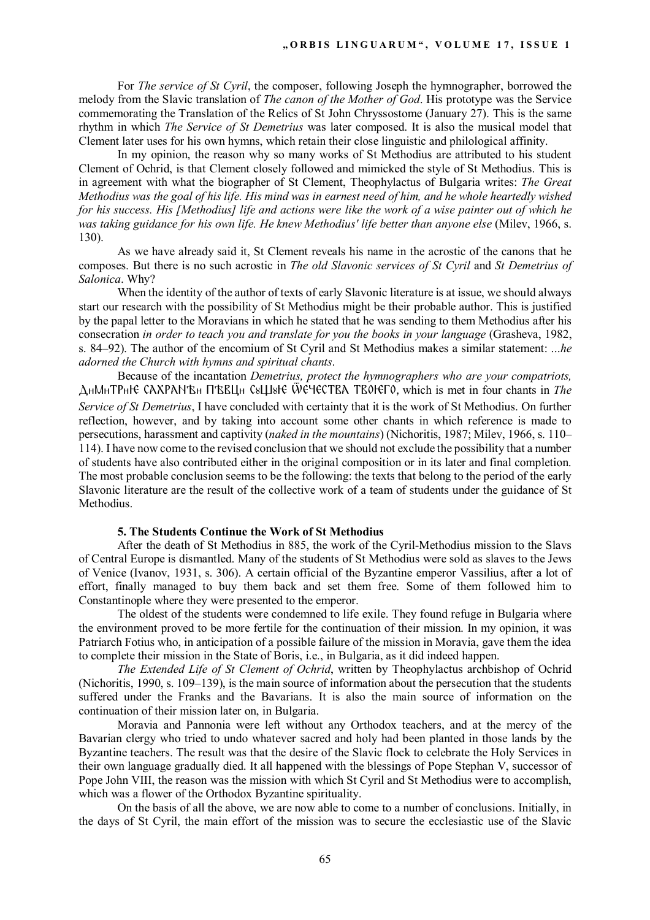For *The service of St Cyril*, the composer, following Joseph the hymnographer, borrowed the melody from the Slavic translation of *The canon of the Mother of God*. His prototype was the Service commemorating the Translation of the Relics of St John Chryssostome (January 27). This is the same rhythm in which *The Service of St Demetrius* was later composed. It is also the musical model that Clement later uses for his own hymns, which retain their close linguistic and philological affinity.

In my opinion, the reason why so many works of St Methodius are attributed to his student Clement of Ochrid, is that Clement closely followed and mimicked the style of St Methodius. This is in agreement with what the biographer of St Clement, Theophylactus of Bulgaria writes: *The Great Methodius was the goal of his life. His mind was in earnest need of him, and he whole heartedly wished for his success. His [Methodius] life and actions were like the work of a wise painter out of which he was taking guidance for his own life. He knew Methodius' life better than anyone else* (Milev, 1966, s. 130).

As we have already said it, St Clement reveals his name in the acrostic of the canons that he composes. But there is no such acrostic in *The old Slavonic services of St Cyril* and *St Demetrius of Salonica*. Why?

When the identity of the author of texts of early Slavonic literature is at issue, we should always start our research with the possibility of St Methodius might be their probable author. This is justified by the papal letter to the Moravians in which he stated that he was sending to them Methodius after his consecration *in order to teach you and translate for you the books in your language* (Grasheva, 1982, s. 84–92). The author of the encomium of St Cyril and St Methodius makes a similar statement: ...*he adorned the Church with hymns and spiritual chants*.

Because of the incantation *Demetrius, protect the hymnographers who are your compatriots,*  $\Delta$ <sub>H</sub>M<sub>H</sub>TP<sub>H</sub>IE CAXPAN B<sub>H</sub> ITBELL<sub>H</sub> C<sub>8</sub>LH<sub>3</sub>EE WE IECTEA TEOFER, which is met in four chants in *The Service of St Demetrius*, I have concluded with certainty that it is the work of St Methodius. On further reflection, however, and by taking into account some other chants in which reference is made to persecutions, harassment and captivity (*naked in the mountains*) (Nichoritis, 1987; Milev, 1966, s. 110– 114). I have now come to the revised conclusion that we should not exclude the possibility that a number of students have also contributed either in the original composition or in its later and final completion. The most probable conclusion seems to be the following: the texts that belong to the period of the early Slavonic literature are the result of the collective work of a team of students under the guidance of St Methodius.

### **5. The Students Continue the Work of St Methodius**

After the death of St Methodius in 885, the work of the Cyril-Methodius mission to the Slavs of Central Europe is dismantled. Many of the students of St Methodius were sold as slaves to the Jews of Venice (Ivanov, 1931, s. 306). A certain official of the Byzantine emperor Vassilius, after a lot of effort, finally managed to buy them back and set them free. Some of them followed him to Constantinople where they were presented to the emperor.

The oldest of the students were condemned to life exile. They found refuge in Bulgaria where the environment proved to be more fertile for the continuation of their mission. In my opinion, it was Patriarch Fotius who, in anticipation of a possible failure of the mission in Moravia, gave them the idea to complete their mission in the State of Boris, i.e., in Bulgaria, as it did indeed happen.

*The Еxtended Life of St Clement of Ochrid*, written by Theophylactus archbishop of Ochrid (Nichoritis, 1990, s. 109–139), is the main source of information about the persecution that the students suffered under the Franks and the Bavarians. It is also the main source of information on the continuation of their mission later on, in Bulgaria.

Moravia and Pannonia were left without any Orthodox teachers, and at the mercy of the Bavarian clergy who tried to undo whatever sacred and holy had been planted in those lands by the Byzantine teachers. The result was that the desire of the Slavic flock to celebrate the Holy Services in their own language gradually died. It all happened with the blessings of Pope Stephan V, successor of Pope John VIII, the reason was the mission with which St Cyril and St Methodius were to accomplish, which was a flower of the Orthodox Byzantine spirituality.

On the basis of all the above, we are now able to come to a number of conclusions. Initially, in the days of St Cyril, the main effort of the mission was to secure the ecclesiastic use of the Slavic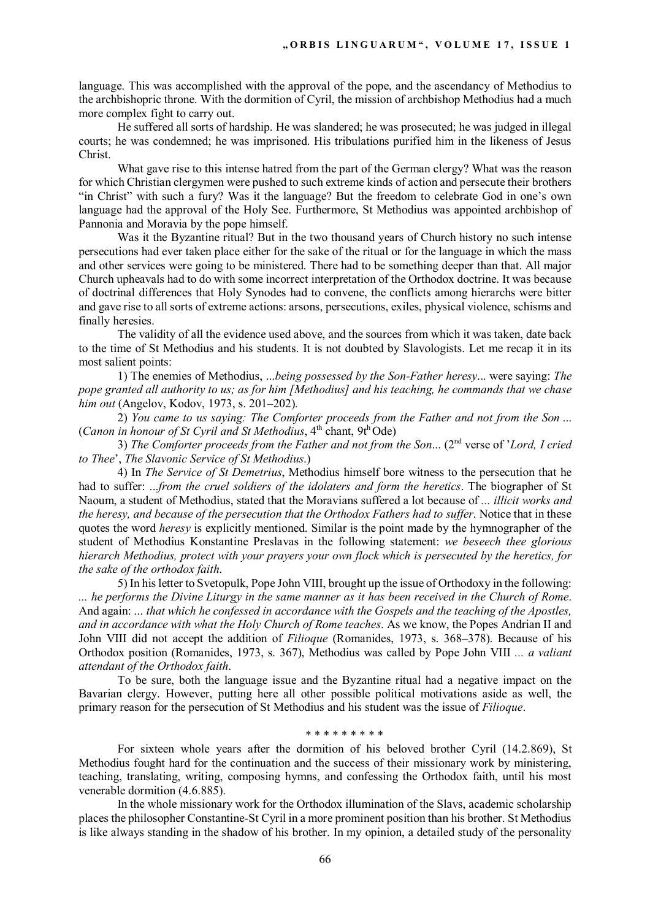language. This was accomplished with the approval of the pope, and the ascendancy of Methodius to the archbishopric throne. With the dormition of Cyril, the mission of archbishop Methodius had a much more complex fight to carry out.

He suffered all sorts of hardship. He was slandered; he was prosecuted; he was judged in illegal courts; he was condemned; he was imprisoned. His tribulations purified him in the likeness of Jesus Christ.

What gave rise to this intense hatred from the part of the German clergy? What was the reason for which Christian clergymen were pushed to such extreme kinds of action and persecute their brothers "in Christ" with such a fury? Was it the language? But the freedom to celebrate God in one's own language had the approval of the Holy See. Furthermore, St Methodius was appointed archbishop of Pannonia and Moravia by the pope himself.

Was it the Byzantine ritual? But in the two thousand years of Church history no such intense persecutions had ever taken place either for the sake of the ritual or for the language in which the mass and other services were going to be ministered. There had to be something deeper than that. All major Church upheavals had to do with some incorrect interpretation of the Orthodox doctrine. It was because of doctrinal differences that Holy Synodes had to convene, the conflicts among hierarchs were bitter and gave rise to all sorts of extreme actions: arsons, persecutions, exiles, physical violence, schisms and finally heresies.

The validity of all the evidence used above, and the sources from which it was taken, date back to the time of St Methodius and his students. It is not doubted by Slavologists. Let me recap it in its most salient points:

1) The enemies of Methodius, ...*being possessed by the Son-Father heresy*... were saying: *The pope granted all authority to us; as for him [Methodius] and his teaching, he commands that we chase him out* (Angelov, Kodov, 1973, s. 201–202).

2) *You came to us saying: The Comforter proceeds from the Father and not from the Son* ... (*Canon in honour of St Cyril and St Methodius*,  $4<sup>th</sup>$  chant,  $9t<sup>h</sup>$ Ode)

3) *The Comforter proceeds from the Father and not from the Son*... (2nd verse of '*Lord, I cried to Thee*', *The Slavonic Service of St Methodius*.)

4) In *The Service of St Demetrius*, Methodius himself bore witness to the persecution that he had to suffer: ...*from the cruel soldiers of the idolaters and form the heretics*. The biographer of St Naoum, a student of Methodius, stated that the Moravians suffered a lot because of *... illicit works and the heresy, and because of the persecution that the Orthodox Fathers had to suffer*. Notice that in these quotes the word *heresy* is explicitly mentioned. Similar is the point made by the hymnographer of the student of Methodius Konstantine Preslavas in the following statement: *we beseech thee glorious hierarch Methodius, protect with your prayers your own flock which is persecuted by the heretics, for the sake of the orthodox faith*.

5) In his letter to Svetopulk, Pope John VIII, brought up the issue of Orthodoxy in the following: *... he performs the Divine Liturgy in the same manner as it has been received in the Church of Rome*. And again: ... *that which he confessed in accordance with the Gospels and the teaching of the Apostles, and in accordance with what the Holy Church of Rome teaches*. As we know, the Popes Andrian II and John VIII did not accept the addition of *Filioque* (Romanides, 1973, s. 368–378). Because of his Orthodox position (Romanides, 1973, s. 367), Methodius was called by Pope John VIII *... a valiant attendant of the Orthodox faith*.

To be sure, both the language issue and the Byzantine ritual had a negative impact on the Bavarian clergy. However, putting here all other possible political motivations aside as well, the primary reason for the persecution of St Methodius and his student was the issue of *Filioque*.

\* \* \* \* \* \* \* \* \*

For sixteen whole years after the dormition of his beloved brother Cyril (14.2.869), St Methodius fought hard for the continuation and the success of their missionary work by ministering, teaching, translating, writing, composing hymns, and confessing the Orthodox faith, until his most venerable dormition (4.6.885).

In the whole missionary work for the Orthodox illumination of the Slavs, academic scholarship places the philosopher Constantine-St Cyril in a more prominent position than his brother. St Methodius is like always standing in the shadow of his brother. In my opinion, a detailed study of the personality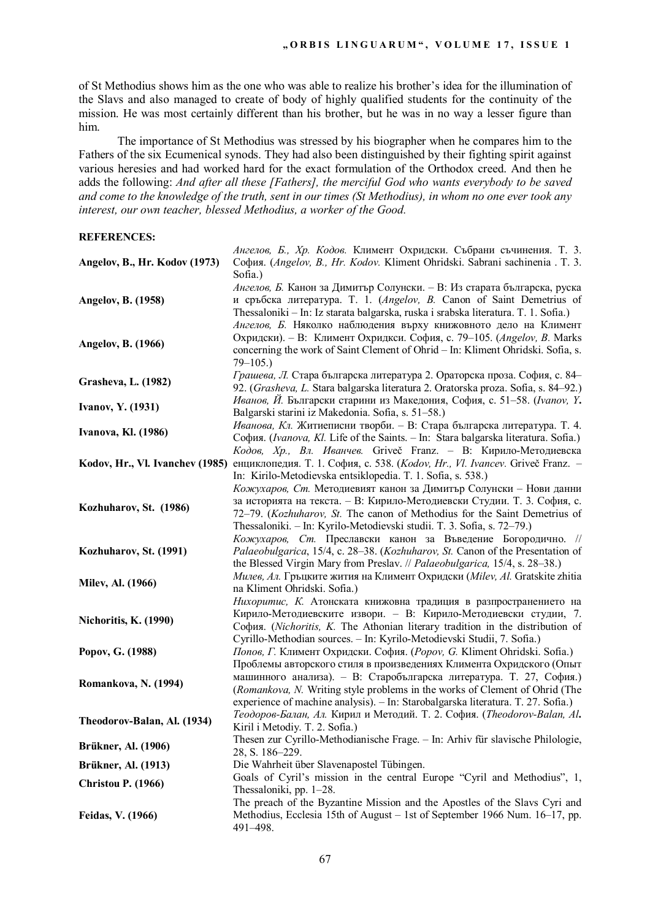of St Methodius shows him as the one who was able to realize his brother's idea for the illumination of the Slavs and also managed to create of body of highly qualified students for the continuity of the mission. He was most certainly different than his brother, but he was in no way a lesser figure than him.

The importance of St Methodius was stressed by his biographer when he compares him to the Fathers of the six Ecumenical synods. They had also been distinguished by their fighting spirit against various heresies and had worked hard for the exact formulation of the Orthodox creed. And then he adds the following: *And after all these [Fathers], the merciful God who wants everybody to be saved and come to the knowledge of the truth, sent in our times (St Methodius), in whom no one ever took any interest, our own teacher, blessed Methodius, a worker of the Good.* 

| Angelov, B., Hr. Kodov (1973)   | Ангелов, Б., Хр. Кодов. Климент Охридски. Събрани съчинения. Т. 3.<br>София. (Angelov, B., Hr. Kodov. Kliment Ohridski. Sabrani sachinenia . T. 3.                                                                                                                                                           |
|---------------------------------|--------------------------------------------------------------------------------------------------------------------------------------------------------------------------------------------------------------------------------------------------------------------------------------------------------------|
| Angelov, B. (1958)              | Sofia.)<br>Ангелов, Б. Канон за Димитър Солунски. - В: Из старата българска, руска<br>и сръбска литература. Т. 1. (Angelov, B. Canon of Saint Demetrius of<br>Thessaloniki – In: Iz starata balgarska, ruska i srabska literatura. T. 1. Sofia.)                                                             |
| Angelov, B. (1966)              | Ангелов, Б. Няколко наблюдения върху книжовното дело на Климент<br>Охридски). - В: Климент Охридкси. София, с. 79-105. (Angelov, B. Marks<br>concerning the work of Saint Clement of Ohrid - In: Kliment Ohridski. Sofia, s.<br>$79 - 105.$                                                                  |
| Grasheva, L. (1982)             | Грашева, Л. Стара българска литература 2. Ораторска проза. София, с. 84-<br>92. (Grasheva, L. Stara balgarska literatura 2. Oratorska proza. Sofia, s. 84–92.)                                                                                                                                               |
| <b>Ivanov, Y. (1931)</b>        | Иванов, Й. Български старини из Македония, София, с. 51-58. (Ivanov, Y.<br>Balgarski starini iz Makedonia. Sofia, s. 51–58.)                                                                                                                                                                                 |
| Ivanova, Kl. (1986)             | Иванова, Кл. Житиеписни творби. - В: Стара българска литература. Т. 4.<br>София. (Ivanova, Kl. Life of the Saints. - In: Stara balgarska literatura. Sofia.)                                                                                                                                                 |
| Kodov, Hr., Vl. Ivanchev (1985) | Кодов, Хр., Вл. Иванчев. Griveč Franz. - В: Кирило-Методиевска<br>енциклопедия. Т. 1. София, с. 538. (Kodov, Hr., Vl. Ivancev. Griveč Franz. -<br>In: Kirilo-Metodievska entsiklopedia. T. 1. Sofia, s. 538.)                                                                                                |
| Kozhuharov, St. (1986)          | Кожухаров, Ст. Методиевият канон за Димитър Солунски – Нови данни<br>за историята на текста. – В: Кирило-Методиевски Студии. Т. 3. София, с.<br>72-79. (Kozhuharov, St. The canon of Methodius for the Saint Demetrius of<br>Thessaloniki. - In: Kyrilo-Metodievski studii. T. 3. Sofia, s. 72-79.)          |
| Kozhuharov, St. (1991)          | Кожухаров, Ст. Преславски канон за Въведение Богородично. //<br>Palaeobulgarica, 15/4, c. 28-38. (Kozhuharov, St. Canon of the Presentation of<br>the Blessed Virgin Mary from Preslav. // Palaeobulgarica, 15/4, s. 28-38.)                                                                                 |
| Milev, Al. (1966)               | Милев, Ал. Гръцките жития на Климент Охридски (Milev, Al. Gratskite zhitia<br>na Kliment Ohridski. Sofia.)<br>Нихоритис, К. Атонската книжовна традиция в разпространението на                                                                                                                               |
| Nichoritis, K. (1990)           | Кирило-Методиевските извори. - В: Кирило-Методиевски студии, 7.<br>София. (Nichoritis, K. The Athonian literary tradition in the distribution of<br>Cyrillo-Methodian sources. - In: Kyrilo-Metodievski Studii, 7. Sofia.)                                                                                   |
| Popov, G. (1988)                | Попов, Г. Климент Охридски. София. (Popov, G. Kliment Ohridski. Sofia.)                                                                                                                                                                                                                                      |
| Romankova, N. (1994)            | Проблемы авторского стиля в произведениях Климента Охридского (Опыт<br>машинного анализа). - В: Старобългарска литература. Т. 27, София.)<br>(Romankova, N. Writing style problems in the works of Clement of Ohrid (The<br>experience of machine analysis). - In: Starobalgarska literatura. T. 27. Sofia.) |
| Theodorov-Balan, Al. (1934)     | Теодоров-Балан, Ал. Кирил и Методий. Т. 2. София. (Theodorov-Balan, Al.<br>Kiril i Metodiy. T. 2. Sofia.)                                                                                                                                                                                                    |
| <b>Brükner, Al. (1906)</b>      | Thesen zur Cyrillo-Methodianische Frage. - In: Arhiv für slavische Philologie,<br>28, S. 186-229.                                                                                                                                                                                                            |
| Brükner, Al. (1913)             | Die Wahrheit über Slavenapostel Tübingen.                                                                                                                                                                                                                                                                    |
| <b>Christou P. (1966)</b>       | Goals of Cyril's mission in the central Europe "Cyril and Methodius", 1,<br>Thessaloniki, pp. $1-28$ .                                                                                                                                                                                                       |
| Feidas, V. (1966)               | The preach of the Byzantine Mission and the Apostles of the Slavs Cyri and<br>Methodius, Ecclesia 15th of August - 1st of September 1966 Num. 16-17, pp.<br>491-498.                                                                                                                                         |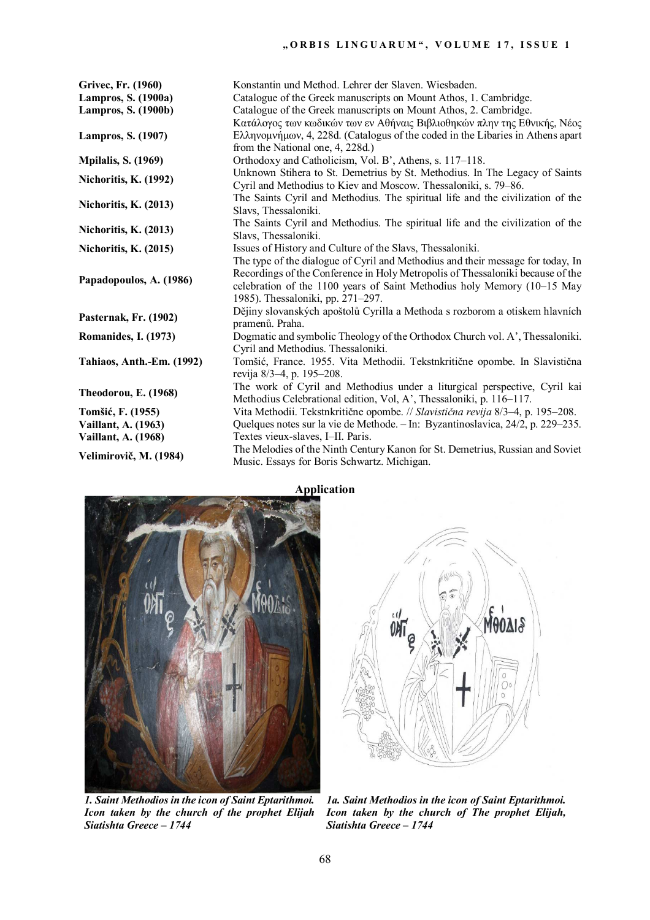# "ORBIS LINGUARUM", VOLUME 17, ISSUE 1

| Grivec, Fr. (1960)          | Konstantin und Method. Lehrer der Slaven. Wiesbaden.                            |
|-----------------------------|---------------------------------------------------------------------------------|
| Lampros, S. (1900a)         | Catalogue of the Greek manuscripts on Mount Athos, 1. Cambridge.                |
| Lampros, S. (1900b)         | Catalogue of the Greek manuscripts on Mount Athos, 2. Cambridge.                |
|                             | Κατάλογος των κωδικών των εν Αθήναις Βιβλιοθηκών πλην της Εθνικής, Νέος         |
| Lampros, S. (1907)          | Ελληνομνήμων, 4, 228d. (Catalogus of the coded in the Libaries in Athens apart  |
|                             | from the National one, 4, 228d.)                                                |
| <b>Mpilalis, S. (1969)</b>  | Orthodoxy and Catholicism, Vol. B', Athens, s. 117–118.                         |
| Nichoritis, K. (1992)       | Unknown Stihera to St. Demetrius by St. Methodius. In The Legacy of Saints      |
|                             | Cyril and Methodius to Kiev and Moscow. Thessaloniki, s. 79–86.                 |
| Nichoritis, K. (2013)       | The Saints Cyril and Methodius. The spiritual life and the civilization of the  |
|                             | Slavs, Thessaloniki.                                                            |
|                             | The Saints Cyril and Methodius. The spiritual life and the civilization of the  |
| Nichoritis, K. (2013)       | Slavs, Thessaloniki.                                                            |
| Nichoritis, K. (2015)       | Issues of History and Culture of the Slavs, Thessaloniki.                       |
|                             | The type of the dialogue of Cyril and Methodius and their message for today, In |
| Papadopoulos, A. (1986)     | Recordings of the Conference in Holy Metropolis of Thessaloniki because of the  |
|                             | celebration of the 1100 years of Saint Methodius holy Memory (10-15 May         |
|                             | 1985). Thessaloniki, pp. 271-297.                                               |
|                             | Dějiny slovanských apoštolů Cyrilla a Methoda s rozborom a otiskem hlavních     |
| Pasternak, Fr. (1902)       | pramenů. Praha.                                                                 |
| <b>Romanides, I. (1973)</b> | Dogmatic and symbolic Theology of the Orthodox Church vol. A', Thessaloniki.    |
|                             | Cyril and Methodius. Thessaloniki.                                              |
| Tahiaos, Anth.-Em. (1992)   | Tomšić, France. 1955. Vita Methodii. Tekstnkritične opombe. In Slavistična      |
|                             | revija 8/3-4, p. 195-208.                                                       |
|                             | The work of Cyril and Methodius under a liturgical perspective, Cyril kai       |
| <b>Theodorou, E. (1968)</b> | Methodius Celebrational edition, Vol, A', Thessaloniki, p. 116-117.             |
|                             | Vita Methodii. Tekstnkritične opombe. // Slavistična revija 8/3-4, p. 195-208.  |
| Tomšić, F. (1955)           |                                                                                 |
| Vaillant, A. (1963)         | Quelques notes sur la vie de Methode. - In: Byzantinoslavica, 24/2, p. 229-235. |
| Vaillant, A. (1968)         | Textes vieux-slaves, I-II. Paris.                                               |
| Velimirovič, M. (1984)      | The Melodies of the Ninth Century Kanon for St. Demetrius, Russian and Soviet   |
|                             | Music. Essays for Boris Schwartz. Michigan.                                     |



*1. Saint Methodios in the icon of Saint Eptarithmoi. Icon taken by the church of the prophet Elijah Siatishta Greece – 1744* 



*1a. Saint Methodios in the icon of Saint Eptarithmoi. Icon taken by the church of The prophet Elijah, Siatishta Greece – 1744*